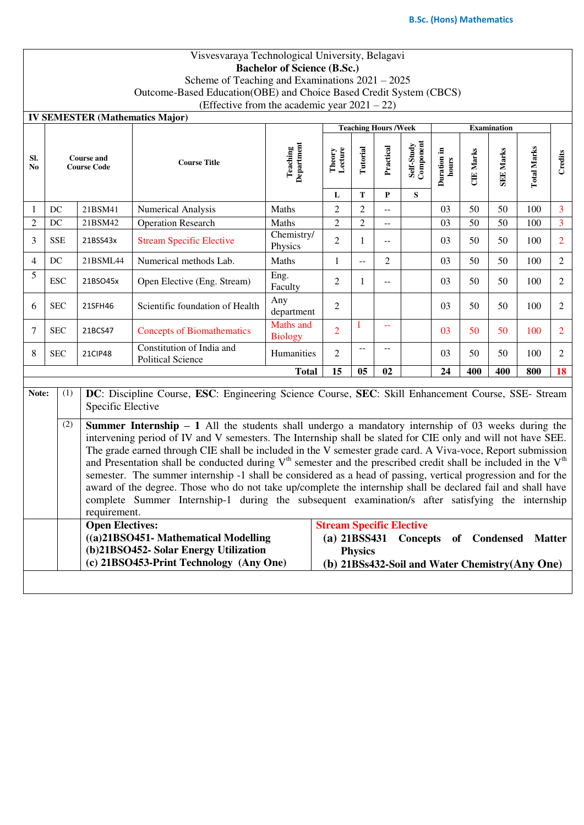# Visvesvaraya Technological University, Belagavi **Bachelor of Science (B.Sc.)**

Scheme of Teaching and Examinations 2021 – 2025

Outcome-Based Education(OBE) and Choice Based Credit System (CBCS)

(Effective from the academic year  $2021 - 22$ )

|                       |                                                                                                                                                                                                                                                                                                                                                                                                                                                                                                                                                                                                                                                                                                                                                                                                                                                                                                                                                                      |                                                                                                                                                    | <b>IV SEMESTER (Mathematics Major)</b>                |                                 |                        |                |                             |                              |                      |                  |                                                                 |                    |                |
|-----------------------|----------------------------------------------------------------------------------------------------------------------------------------------------------------------------------------------------------------------------------------------------------------------------------------------------------------------------------------------------------------------------------------------------------------------------------------------------------------------------------------------------------------------------------------------------------------------------------------------------------------------------------------------------------------------------------------------------------------------------------------------------------------------------------------------------------------------------------------------------------------------------------------------------------------------------------------------------------------------|----------------------------------------------------------------------------------------------------------------------------------------------------|-------------------------------------------------------|---------------------------------|------------------------|----------------|-----------------------------|------------------------------|----------------------|------------------|-----------------------------------------------------------------|--------------------|----------------|
|                       |                                                                                                                                                                                                                                                                                                                                                                                                                                                                                                                                                                                                                                                                                                                                                                                                                                                                                                                                                                      |                                                                                                                                                    |                                                       |                                 |                        |                | <b>Teaching Hours /Week</b> |                              | <b>Examination</b>   |                  |                                                                 |                    |                |
| SI.<br>N <sub>0</sub> | <b>Course and</b><br><b>Course Code</b>                                                                                                                                                                                                                                                                                                                                                                                                                                                                                                                                                                                                                                                                                                                                                                                                                                                                                                                              |                                                                                                                                                    | <b>Course Title</b>                                   | Teaching<br>Department          | Theory<br>Lecture<br>L | Tutorial<br>T  | Practical<br>${\bf P}$      | Self-Study<br>Component<br>S | Duration in<br>hours | <b>CIE Marks</b> | <b>SEE Marks</b>                                                | <b>Total Marks</b> | Credits        |
| 1                     | DC<br>21BSM41                                                                                                                                                                                                                                                                                                                                                                                                                                                                                                                                                                                                                                                                                                                                                                                                                                                                                                                                                        |                                                                                                                                                    | Numerical Analysis                                    | Maths                           | $\overline{2}$         | $\overline{2}$ | $\overline{a}$              |                              | 03                   | 50               | 50                                                              | 100                | 3              |
| $\overline{c}$        | DC                                                                                                                                                                                                                                                                                                                                                                                                                                                                                                                                                                                                                                                                                                                                                                                                                                                                                                                                                                   | 21BSM42                                                                                                                                            | <b>Operation Research</b>                             | Maths                           | $\overline{2}$         | $\overline{2}$ | $\overline{a}$              |                              | 03                   | 50               | 50                                                              | 100                | $\overline{3}$ |
| 3                     | <b>SSE</b>                                                                                                                                                                                                                                                                                                                                                                                                                                                                                                                                                                                                                                                                                                                                                                                                                                                                                                                                                           | 21BSS43x                                                                                                                                           | <b>Stream Specific Elective</b>                       | Chemistry/<br>Physics           | $\overline{2}$         | $\mathbf{1}$   | $-$                         |                              | 03                   | 50               | 50                                                              | 100                | $\overline{2}$ |
| $\overline{4}$        | DC                                                                                                                                                                                                                                                                                                                                                                                                                                                                                                                                                                                                                                                                                                                                                                                                                                                                                                                                                                   | 21BSML44                                                                                                                                           | Numerical methods Lab.                                | Maths                           | $\mathbf{1}$           | $\overline{a}$ | $\overline{2}$              |                              | 03                   | 50               | 50                                                              | 100                | $\overline{2}$ |
| 5                     | <b>ESC</b>                                                                                                                                                                                                                                                                                                                                                                                                                                                                                                                                                                                                                                                                                                                                                                                                                                                                                                                                                           | 21BSO45x                                                                                                                                           | Open Elective (Eng. Stream)                           | Eng.<br>Faculty                 | $\overline{2}$         | $\mathbf{1}$   | $-$                         |                              | 03                   | 50               | 50                                                              | 100                | $\overline{c}$ |
| 6                     | <b>SEC</b>                                                                                                                                                                                                                                                                                                                                                                                                                                                                                                                                                                                                                                                                                                                                                                                                                                                                                                                                                           | 21SFH46                                                                                                                                            | Scientific foundation of Health                       | Any<br>department               | $\overline{2}$         |                |                             |                              | 03                   | 50               | 50                                                              | 100                | $\overline{2}$ |
| 7                     | <b>SEC</b>                                                                                                                                                                                                                                                                                                                                                                                                                                                                                                                                                                                                                                                                                                                                                                                                                                                                                                                                                           | 21BCS47                                                                                                                                            | <b>Concepts of Biomathematics</b>                     | Maths and<br><b>Biology</b>     | $\overline{2}$         | 1              | $\equiv$                    |                              | 03                   | 50               | 50                                                              | 100                | $\overline{2}$ |
| 8                     | <b>SEC</b>                                                                                                                                                                                                                                                                                                                                                                                                                                                                                                                                                                                                                                                                                                                                                                                                                                                                                                                                                           | <b>21CIP48</b>                                                                                                                                     | Constitution of India and<br><b>Political Science</b> | Humanities                      | $\overline{2}$         | $\overline{a}$ | $\sim$                      |                              | 03                   | 50               | 50                                                              | 100                | $\overline{2}$ |
|                       | <b>Total</b>                                                                                                                                                                                                                                                                                                                                                                                                                                                                                                                                                                                                                                                                                                                                                                                                                                                                                                                                                         |                                                                                                                                                    |                                                       |                                 | 15                     | 0 <sub>5</sub> | 02                          |                              | 24                   | 400              | 400                                                             | 800                | 18             |
|                       | DC: Discipline Course, ESC: Engineering Science Course, SEC: Skill Enhancement Course, SSE- Stream<br>Note:<br>(1)<br>Specific Elective<br>(2)<br><b>Summer Internship – 1</b> All the students shall undergo a mandatory internship of 03 weeks during the<br>intervening period of IV and V semesters. The Internship shall be slated for CIE only and will not have SEE.<br>The grade earned through CIE shall be included in the V semester grade card. A Viva-voce, Report submission<br>and Presentation shall be conducted during $Vth$ semester and the prescribed credit shall be included in the $Vth$<br>semester. The summer internship -1 shall be considered as a head of passing, vertical progression and for the<br>award of the degree. Those who do not take up/complete the internship shall be declared fail and shall have<br>complete Summer Internship-1 during the subsequent examination/s after satisfying the internship<br>requirement. |                                                                                                                                                    |                                                       |                                 |                        |                |                             |                              |                      |                  |                                                                 |                    |                |
|                       |                                                                                                                                                                                                                                                                                                                                                                                                                                                                                                                                                                                                                                                                                                                                                                                                                                                                                                                                                                      | <b>Open Electives:</b><br>((a)21BSO451- Mathematical Modelling<br>(b)21BSO452- Solar Energy Utilization<br>(c) 21BSO453-Print Technology (Any One) |                                                       | <b>Stream Specific Elective</b> | <b>Physics</b>         |                | $(a)$ 21BSS431 Concepts     |                              | of Condensed         |                  | <b>Matter</b><br>(b) 21BSs432-Soil and Water Chemistry(Any One) |                    |                |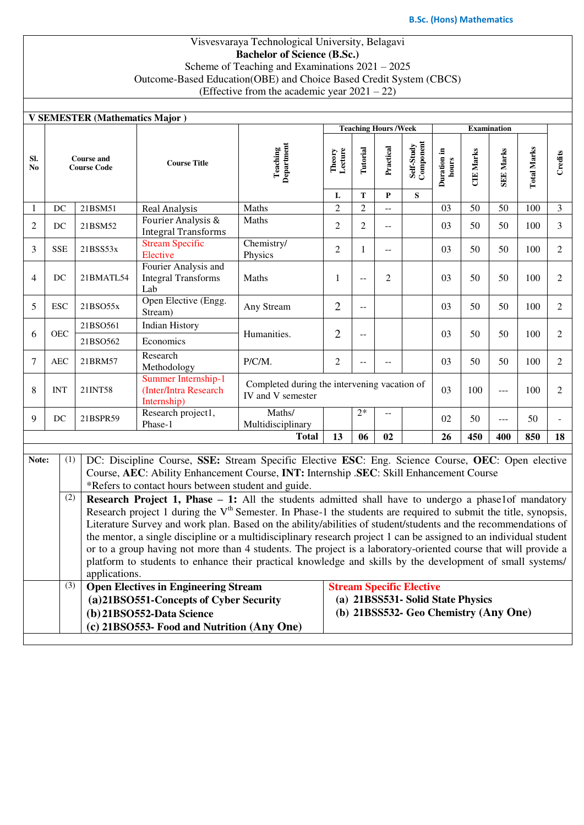### Visvesvaraya Technological University, Belagavi **Bachelor of Science (B.Sc.)** Scheme of Teaching and Examinations 2021 – 2025 Outcome-Based Education(OBE) and Choice Based Credit System (CBCS) (Effective from the academic year  $2021 - 22$ )

|           |                                         | <b>V SEMESTER (Mathematics Major)</b> |                                                                                                                             |                               |                                              |                                           |                    |                                       |                      |                  |                  |                    |                |
|-----------|-----------------------------------------|---------------------------------------|-----------------------------------------------------------------------------------------------------------------------------|-------------------------------|----------------------------------------------|-------------------------------------------|--------------------|---------------------------------------|----------------------|------------------|------------------|--------------------|----------------|
|           |                                         |                                       |                                                                                                                             |                               | <b>Teaching Hours /Week</b>                  |                                           | <b>Examination</b> |                                       |                      |                  |                  |                    |                |
| SI.<br>No | <b>Course and</b><br><b>Course Code</b> |                                       | <b>Course Title</b>                                                                                                         | <b>Teaching</b><br>Department | Theory<br>Lecture                            | Tutorial                                  | Practical          | Self-Study<br>Component               | Duration in<br>hours | <b>CIE Marks</b> | <b>SEE Marks</b> | <b>Total Marks</b> | Credits        |
|           |                                         |                                       |                                                                                                                             | L                             | T                                            | $\mathbf{P}$                              | S                  |                                       |                      |                  |                  |                    |                |
| 1         | DC                                      | 21BSM51                               | Real Analysis                                                                                                               | Maths                         | $\overline{2}$                               | $\overline{2}$                            | $\overline{a}$     |                                       | 03                   | 50               | 50               | 100                | 3              |
| 2         | DC                                      | 21BSM52                               | Fourier Analysis &<br><b>Integral Transforms</b>                                                                            | Maths                         | $\overline{2}$                               | $\mathbf{2}$                              | $-$                |                                       | 03                   | 50               | 50               | 100                | 3              |
| 3         | <b>SSE</b>                              | 21BSS53x                              | <b>Stream Specific</b><br>Elective                                                                                          | Chemistry/<br>Physics         | $\overline{2}$                               | 1                                         | $-$                |                                       | 03                   | 50               | 50               | 100                | 2              |
| 4         | DC                                      | 21BMATL54                             | Fourier Analysis and<br><b>Integral Transforms</b><br>Lab                                                                   | Maths                         | 1                                            | $-$                                       | 2                  |                                       | 03                   | 50               | 50               | 100                | 2              |
| 5         | <b>ESC</b>                              | 21BSO55x                              | Open Elective (Engg.<br>Stream)                                                                                             | Any Stream                    | $\overline{2}$                               | $\mathrel{{-}\mathrel{{-}}\mathrel{{-}}}$ |                    |                                       | 03                   | 50               | 50               | 100                | $\overline{2}$ |
|           |                                         | 21BSO561                              | <b>Indian History</b>                                                                                                       |                               |                                              |                                           |                    |                                       |                      |                  |                  |                    |                |
| 6         | <b>OEC</b><br>Economics<br>21BSO562     |                                       |                                                                                                                             | Humanities.                   | $\overline{2}$                               | $-$                                       |                    |                                       | 03                   | 50               | 50               | 100                | 2              |
| 7         | <b>AEC</b>                              | 21BRM57                               | Research<br>Methodology                                                                                                     | P/C/M.                        | $\overline{2}$                               | --                                        |                    |                                       | 03                   | 50               | 50               | 100                | 2              |
| 8         | <b>INT</b>                              | 21INT58                               | Summer Internship-1<br>(Inter/Intra Research<br>Internship)                                                                 | IV and V semester             | Completed during the intervening vacation of |                                           |                    |                                       | 03                   | 100              | $---$            | 100                | 2              |
| 9         | DC                                      | 21BSPR59                              | Research project1,<br>Phase-1                                                                                               | Maths/<br>Multidisciplinary   |                                              | $2*$                                      | --                 |                                       | 02                   | 50               | ---              | 50                 |                |
|           |                                         |                                       |                                                                                                                             | <b>Total</b>                  | 13                                           | 06                                        | 02                 |                                       | 26                   | 450              | 400              | 850                | 18             |
|           |                                         |                                       |                                                                                                                             |                               |                                              |                                           |                    |                                       |                      |                  |                  |                    |                |
| Note:     | (1)                                     |                                       | DC: Discipline Course, SSE: Stream Specific Elective ESC: Eng. Science Course, OEC: Open elective                           |                               |                                              |                                           |                    |                                       |                      |                  |                  |                    |                |
|           |                                         |                                       | Course, AEC: Ability Enhancement Course, INT: Internship .SEC: Skill Enhancement Course                                     |                               |                                              |                                           |                    |                                       |                      |                  |                  |                    |                |
|           |                                         |                                       | *Refers to contact hours between student and guide.                                                                         |                               |                                              |                                           |                    |                                       |                      |                  |                  |                    |                |
|           | (2)                                     |                                       | <b>Research Project 1, Phase <math>-1</math>:</b> All the students admitted shall have to undergo a phase1of mandatory      |                               |                                              |                                           |                    |                                       |                      |                  |                  |                    |                |
|           |                                         |                                       | Research project 1 during the V <sup>th</sup> Semester. In Phase-1 the students are required to submit the title, synopsis, |                               |                                              |                                           |                    |                                       |                      |                  |                  |                    |                |
|           |                                         |                                       | Literature Survey and work plan. Based on the ability/abilities of student/students and the recommendations of              |                               |                                              |                                           |                    |                                       |                      |                  |                  |                    |                |
|           |                                         |                                       | the mentor, a single discipline or a multidisciplinary research project 1 can be assigned to an individual student          |                               |                                              |                                           |                    |                                       |                      |                  |                  |                    |                |
|           |                                         |                                       | or to a group having not more than 4 students. The project is a laboratory-oriented course that will provide a              |                               |                                              |                                           |                    |                                       |                      |                  |                  |                    |                |
|           |                                         | applications.                         | platform to students to enhance their practical knowledge and skills by the development of small systems/                   |                               |                                              |                                           |                    |                                       |                      |                  |                  |                    |                |
|           | (3)                                     |                                       | <b>Open Electives in Engineering Stream</b>                                                                                 |                               |                                              |                                           |                    | <b>Stream Specific Elective</b>       |                      |                  |                  |                    |                |
|           |                                         |                                       | (a)21BSO551-Concepts of Cyber Security                                                                                      |                               |                                              |                                           |                    | (a) 21BSS531- Solid State Physics     |                      |                  |                  |                    |                |
|           |                                         |                                       | (b) 21BSO552-Data Science                                                                                                   |                               |                                              |                                           |                    | (b) 21BSS532- Geo Chemistry (Any One) |                      |                  |                  |                    |                |
|           |                                         |                                       | (c) 21BSO553- Food and Nutrition (Any One)                                                                                  |                               |                                              |                                           |                    |                                       |                      |                  |                  |                    |                |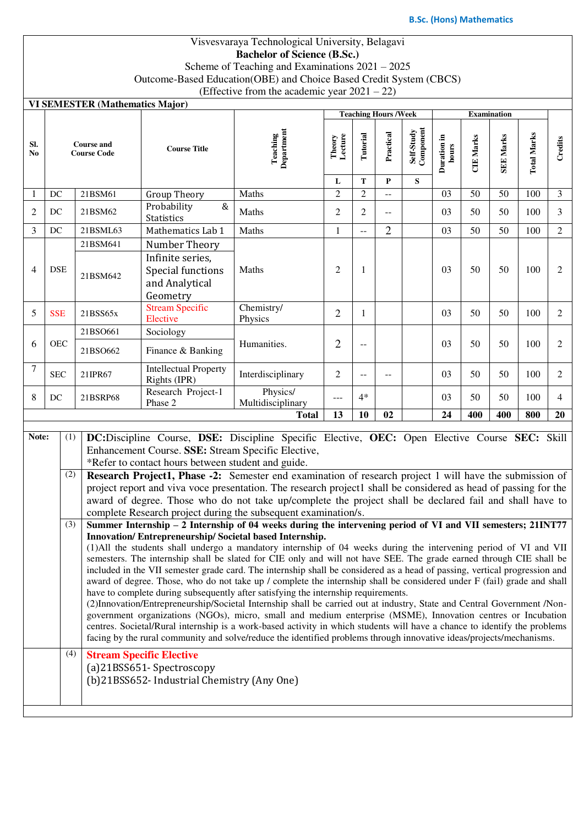### Visvesvaraya Technological University, Belagavi **Bachelor of Science (B.Sc.)** Scheme of Teaching and Examinations 2021 – 2025 Outcome-Based Education(OBE) and Choice Based Credit System (CBCS) (Effective from the academic year 2021 – 22)

#### **VI SEMESTER (Mathematics Major)**

|                       |                                         | VI SEMESTER (Mathematics Major) |                                                                     |                               |                   |                |                |                         |                      |                    |                  |                    |                |  |
|-----------------------|-----------------------------------------|---------------------------------|---------------------------------------------------------------------|-------------------------------|-------------------|----------------|----------------|-------------------------|----------------------|--------------------|------------------|--------------------|----------------|--|
|                       |                                         |                                 | <b>Teaching Hours /Week</b>                                         |                               |                   |                |                |                         |                      | <b>Examination</b> |                  |                    |                |  |
| SI.<br>N <sub>0</sub> | <b>Course and</b><br><b>Course Code</b> |                                 | <b>Course Title</b>                                                 | Department<br>Teaching        | Lecture<br>Theory | Tutorial       | Practical      | Self-Study<br>Component | Duration in<br>hours | <b>CIE Marks</b>   | <b>SEE Marks</b> | <b>Total Marks</b> | Credits        |  |
|                       |                                         |                                 |                                                                     |                               | L                 | T              | P              | S                       |                      |                    |                  |                    |                |  |
|                       | DC                                      | 21BSM61                         | <b>Group Theory</b>                                                 | Maths                         | $\overline{2}$    | $\overline{2}$ | $-$            |                         | 03                   | 50                 | 50               | 100                | $\overline{3}$ |  |
| $\overline{2}$        | DC                                      | 21BSM62                         | $\&$<br>Probability<br><b>Statistics</b>                            | Maths                         | $\overline{2}$    | $\overline{2}$ | $\mathbf{u}$   |                         | 03                   | 50                 | 50               | 100                | 3              |  |
| 3                     | DC                                      | 21BSML63                        | Mathematics Lab 1                                                   | Maths                         | 1                 | $-$            | $\overline{2}$ |                         | 03                   | 50                 | 50               | 100                | $\overline{2}$ |  |
| $\overline{4}$        | <b>DSE</b>                              | 21BSM641                        | Number Theory                                                       | Maths                         |                   |                |                |                         |                      |                    |                  |                    |                |  |
|                       |                                         | 21BSM642                        | Infinite series,<br>Special functions<br>and Analytical<br>Geometry |                               | $\overline{2}$    | 1              |                |                         | 03                   | 50                 | 50               | 100                | $\overline{2}$ |  |
| 5                     | <b>SSE</b>                              | 21BSS65x                        | <b>Stream Specific</b><br>Elective                                  | Chemistry/<br>Physics         | $\overline{2}$    | 1              |                |                         | 03                   | 50                 | 50               | 100                | $\overline{c}$ |  |
|                       |                                         | 21BSO661                        | Sociology                                                           |                               |                   |                |                |                         |                      |                    |                  |                    |                |  |
| 6                     | <b>OEC</b>                              | 21BSO662                        | Finance & Banking                                                   | Humanities.                   | $\overline{2}$    | --             |                |                         | 03                   | 50                 | 50               | 100                | $\overline{2}$ |  |
| $\overline{7}$        | <b>SEC</b>                              | 21IPR67                         | <b>Intellectual Property</b><br>Rights (IPR)                        | Interdisciplinary             | $\overline{c}$    | $-$            | $--$           |                         | 03                   | 50                 | 50               | 100                | $\overline{2}$ |  |
| 8                     | DC                                      | 21BSRP68                        | Research Project-1<br>Phase 2                                       | Physics/<br>Multidisciplinary | $---$<br>13       | $4*$<br>10     |                |                         | 03                   | 50                 | 50               | 100                | 4              |  |
|                       | Total                                   |                                 |                                                                     |                               |                   |                | 02             |                         | 24                   | 400                | 400              | 800                | 20             |  |

## **Note:** (1) **DC:**Discipline Course, **DSE:** Discipline Specific Elective, **OEC:** Open Elective Course **SEC:** Skill Enhancement Course. **SSE:** Stream Specific Elective, \*Refer to contact hours between student and guide.

(2) **Research Project1, Phase -2:** Semester end examination of research project 1 will have the submission of project report and viva voce presentation. The research project1 shall be considered as head of passing for the award of degree. Those who do not take up/complete the project shall be declared fail and shall have to complete Research project during the subsequent examination/s.

(3) **Summer Internship – 2 Internship of 04 weeks during the intervening period of VI and VII semesters; 21INT77 Innovation/ Entrepreneurship/ Societal based Internship.**  (1)All the students shall undergo a mandatory internship of 04 weeks during the intervening period of VI and VII

semesters. The internship shall be slated for CIE only and will not have SEE. The grade earned through CIE shall be included in the VII semester grade card. The internship shall be considered as a head of passing, vertical progression and award of degree. Those, who do not take up / complete the internship shall be considered under F (fail) grade and shall have to complete during subsequently after satisfying the internship requirements.

(2)Innovation/Entrepreneurship/Societal Internship shall be carried out at industry, State and Central Government /Nongovernment organizations (NGOs), micro, small and medium enterprise (MSME), Innovation centres or Incubation centres. Societal/Rural internship is a work-based activity in which students will have a chance to identify the problems facing by the rural community and solve/reduce the identified problems through innovative ideas/projects/mechanisms.

(4) **Stream Specific Elective** (a)21BSS651- Spectroscopy (b)21BSS652- Industrial Chemistry (Any One)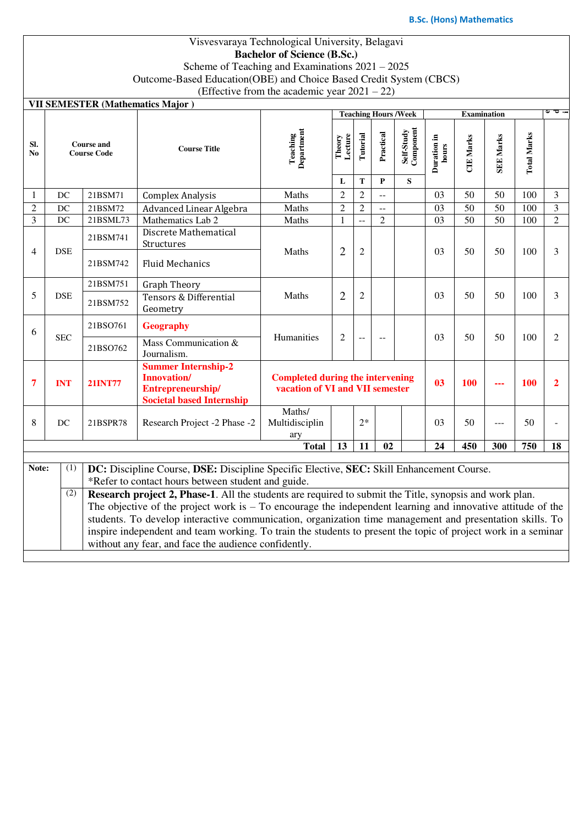### Visvesvaraya Technological University, Belagavi **Bachelor of Science (B.Sc.)** Scheme of Teaching and Examinations 2021 – 2025 Outcome-Based Education(OBE) and Choice Based Credit System (CBCS) (Effective from the academic year  $2021 - 22$ )

| <b>VII SEMESTER (Mathematics Major)</b> |
|-----------------------------------------|
|                                         |

|                                                                                                          |                                                                                                               |                                                                                                         |                                                                                                               |                                                                                                       |                   |                |                | <b>Teaching Hours /Week</b> |                      |                  |                  |                    |                         |
|----------------------------------------------------------------------------------------------------------|---------------------------------------------------------------------------------------------------------------|---------------------------------------------------------------------------------------------------------|---------------------------------------------------------------------------------------------------------------|-------------------------------------------------------------------------------------------------------|-------------------|----------------|----------------|-----------------------------|----------------------|------------------|------------------|--------------------|-------------------------|
| SI.<br>N <sub>0</sub>                                                                                    |                                                                                                               | <b>Course and</b><br><b>Course Code</b>                                                                 | <b>Course Title</b>                                                                                           | <b>Teaching</b><br>Department                                                                         | Lecture<br>Theory | Tutorial       | Practical      | Self-Study<br>Component     | Duration in<br>hours | <b>CIE Marks</b> | <b>SEE Marks</b> | <b>Total Marks</b> |                         |
|                                                                                                          |                                                                                                               |                                                                                                         |                                                                                                               |                                                                                                       | L                 | T              | $\mathbf{P}$   | S                           |                      |                  |                  |                    |                         |
| 1                                                                                                        | DC                                                                                                            | 21BSM71                                                                                                 | <b>Complex Analysis</b>                                                                                       | Maths                                                                                                 | $\overline{2}$    | $\overline{2}$ | $\mathbf{u}$   |                             | 03                   | 50               | 50               | 100                | 3                       |
| $\overline{2}$                                                                                           | DC                                                                                                            | 21BSM72                                                                                                 | Advanced Linear Algebra                                                                                       | Maths                                                                                                 | $\overline{2}$    | $\overline{2}$ | $\overline{a}$ |                             | 03                   | $\overline{50}$  | 50               | 100                | $\overline{\mathbf{3}}$ |
| $\overline{3}$                                                                                           | DC                                                                                                            | 21BSML73                                                                                                | Mathematics Lab 2                                                                                             | Maths                                                                                                 | 1                 |                | $\overline{2}$ |                             | $\overline{03}$      | $\overline{50}$  | $\overline{50}$  | 100                | $\overline{2}$          |
|                                                                                                          |                                                                                                               | 21BSM741                                                                                                | Discrete Mathematical<br>Structures                                                                           |                                                                                                       |                   |                |                |                             | 0 <sub>3</sub>       |                  |                  |                    |                         |
| $\overline{4}$                                                                                           | <b>DSE</b>                                                                                                    | 21BSM742                                                                                                | <b>Fluid Mechanics</b>                                                                                        | $\overline{2}$<br>Maths                                                                               | $\overline{2}$    |                |                |                             | 50                   | 50               | 100              | 3                  |                         |
| 5                                                                                                        | <b>DSE</b>                                                                                                    | 21BSM751                                                                                                | <b>Graph Theory</b>                                                                                           |                                                                                                       |                   |                |                |                             |                      |                  |                  |                    |                         |
|                                                                                                          |                                                                                                               | 21BSM752                                                                                                | Tensors & Differential<br>Geometry                                                                            | Maths                                                                                                 | $\overline{2}$    | $\overline{2}$ |                |                             | 03                   | 50               | 50               | 100                | 3                       |
| 6                                                                                                        |                                                                                                               | 21BSO761                                                                                                | <b>Geography</b>                                                                                              |                                                                                                       |                   |                |                |                             |                      |                  |                  |                    |                         |
|                                                                                                          | <b>SEC</b>                                                                                                    | 21BSO762                                                                                                | Mass Communication &<br>Journalism.                                                                           | Humanities                                                                                            | $\overline{c}$    |                |                |                             | 03                   | 50               | 50               | 100                | 2                       |
| 7                                                                                                        | <b>INT</b>                                                                                                    | <b>21INT77</b>                                                                                          | <b>Summer Internship-2</b><br><b>Innovation/</b><br>Entrepreneurship/<br><b>Societal based Internship</b>     | <b>Completed during the intervening</b><br>03<br>100<br><b>100</b><br>vacation of VI and VII semester |                   |                |                |                             |                      |                  |                  | 2                  |                         |
| 8                                                                                                        | DC                                                                                                            | 21BSPR78                                                                                                | Research Project -2 Phase -2                                                                                  | Maths/<br>Multidisciplin<br>ary                                                                       |                   | $2*$           |                |                             | 0 <sub>3</sub>       | 50               | ---              | 50                 |                         |
|                                                                                                          |                                                                                                               |                                                                                                         |                                                                                                               | <b>Total</b>                                                                                          | 13                | 11             | 02             |                             | 24                   | 450              | 300              | 750                | 18                      |
| Note:                                                                                                    | (1)                                                                                                           |                                                                                                         | DC: Discipline Course, DSE: Discipline Specific Elective, SEC: Skill Enhancement Course.                      |                                                                                                       |                   |                |                |                             |                      |                  |                  |                    |                         |
|                                                                                                          |                                                                                                               |                                                                                                         | *Refer to contact hours between student and guide.                                                            |                                                                                                       |                   |                |                |                             |                      |                  |                  |                    |                         |
|                                                                                                          | (2)                                                                                                           | Research project 2, Phase-1. All the students are required to submit the Title, synopsis and work plan. |                                                                                                               |                                                                                                       |                   |                |                |                             |                      |                  |                  |                    |                         |
|                                                                                                          | The objective of the project work is $-$ To encourage the independent learning and innovative attitude of the |                                                                                                         |                                                                                                               |                                                                                                       |                   |                |                |                             |                      |                  |                  |                    |                         |
| students. To develop interactive communication, organization time management and presentation skills. To |                                                                                                               |                                                                                                         |                                                                                                               |                                                                                                       |                   |                |                |                             |                      |                  |                  |                    |                         |
|                                                                                                          |                                                                                                               |                                                                                                         | inspire independent and team working. To train the students to present the topic of project work in a seminar |                                                                                                       |                   |                |                |                             |                      |                  |                  |                    |                         |
|                                                                                                          |                                                                                                               |                                                                                                         | without any fear, and face the audience confidently.                                                          |                                                                                                       |                   |                |                |                             |                      |                  |                  |                    |                         |
|                                                                                                          |                                                                                                               |                                                                                                         |                                                                                                               |                                                                                                       |                   |                |                |                             |                      |                  |                  |                    |                         |